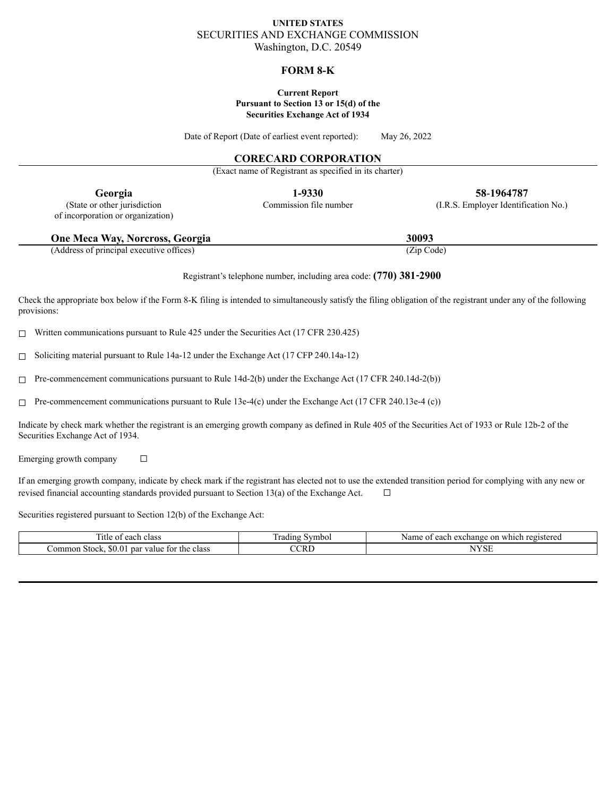# **UNITED STATES** SECURITIES AND EXCHANGE COMMISSION Washington, D.C. 20549

### **FORM 8-K**

#### **Current Report Pursuant to Section 13 or 15(d) of the Securities Exchange Act of 1934**

Date of Report (Date of earliest event reported): May 26, 2022

# **CORECARD CORPORATION**

(Exact name of Registrant as specified in its charter)

of incorporation or organization)

**Georgia 1-9330 58**-**1964787** (State or other jurisdiction Commission file number (I.R.S. Employer Identification No.)

| One Meca Way, Norcross, Georgia | 30093 |
|---------------------------------|-------|
|                                 |       |

(Address of principal executive offices) (Zip Code)

Registrant's telephone number, including area code: **(770) 381**‑**2900**

Check the appropriate box below if the Form 8-K filing is intended to simultaneously satisfy the filing obligation of the registrant under any of the following provisions:

☐ Written communications pursuant to Rule 425 under the Securities Act (17 CFR 230.425)

 $\Box$  Soliciting material pursuant to Rule 14a-12 under the Exchange Act (17 CFP 240.14a-12)

 $\Box$  Pre-commencement communications pursuant to Rule 14d-2(b) under the Exchange Act (17 CFR 240.14d-2(b))

 $\Box$  Pre-commencement communications pursuant to Rule 13e-4(c) under the Exchange Act (17 CFR 240.13e-4 (c))

Indicate by check mark whether the registrant is an emerging growth company as defined in Rule 405 of the Securities Act of 1933 or Rule 12b-2 of the Securities Exchange Act of 1934.

Emerging growth company  $\Box$ 

If an emerging growth company, indicate by check mark if the registrant has elected not to use the extended transition period for complying with any new or revised financial accounting standards provided pursuant to Section 13(a) of the Exchange Act.  $\Box$ 

Securities registered pursuant to Section 12(b) of the Exchange Act:

| <sub>1</sub> tle<br>0.00<br>de class<br>cac                                      | $\sim$<br>- 1100<br>adir -<br>mbo    | which<br>Name<br>registered<br>$\cdot$ cxchange $\sim$<br>annn<br>-on<br>cac |
|----------------------------------------------------------------------------------|--------------------------------------|------------------------------------------------------------------------------|
| $\sim$<br>ommon<br>par<br>-tor<br>alue/<br>o lz<br>∵the<br>ciass<br>30.0<br>эпек | CRI<br>the company of the company of | $-1$                                                                         |